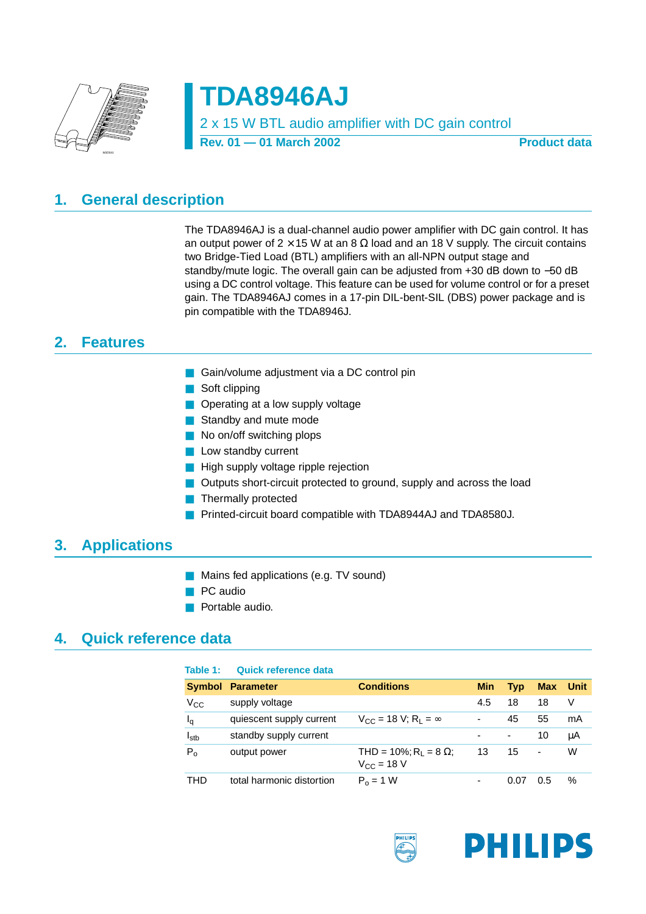

**TDA8946AJ** 2 x 15 W BTL audio amplifier with DC gain control

Rev. 01 — 01 March 2002 **Product data** 

# <span id="page-0-0"></span>**1. General description**

The TDA8946AJ is a dual-channel audio power amplifier with DC gain control. It has an output power of  $2 \times 15$  W at an 8  $\Omega$  load and an 18 V supply. The circuit contains two Bridge-Tied Load (BTL) amplifiers with an all-NPN output stage and standby/mute logic. The overall gain can be adjusted from +30 dB down to −50 dB using a DC control voltage. This feature can be used for volume control or for a preset gain. The TDA8946AJ comes in a 17-pin DIL-bent-SIL (DBS) power package and is pin compatible with the TDA8946J.

# <span id="page-0-1"></span>**2. Features**

- Gain/volume adjustment via a DC control pin
- Soft clipping
- Operating at a low supply voltage
- Standby and mute mode
- No on/off switching plops
- Low standby current
- High supply voltage ripple rejection
- Outputs short-circuit protected to ground, supply and across the load
- Thermally protected
- Printed-circuit board compatible with TDA8944AJ and TDA8580J.

# <span id="page-0-2"></span>**3. Applications**

- Mains fed applications (e.g. TV sound)
- PC audio
- Portable audio.

## <span id="page-0-3"></span>**4. Quick reference data**

| Table 1:         | Quick reference data      |                                                            |            |            |                          |             |
|------------------|---------------------------|------------------------------------------------------------|------------|------------|--------------------------|-------------|
| <b>Symbol</b>    | <b>Parameter</b>          | <b>Conditions</b>                                          | <b>Min</b> | <b>Typ</b> | <b>Max</b>               | <b>Unit</b> |
| $V_{\rm CC}$     | supply voltage            |                                                            | 4.5        | 18         | 18                       | V           |
| Ιq               | quiescent supply current  | $V_{CC}$ = 18 V; R <sub>L</sub> = $\infty$                 | ۰          | 45         | 55                       | mA          |
| I <sub>stb</sub> | standby supply current    |                                                            |            | -          | 10                       | μA          |
| $P_{o}$          | output power              | THD = 10%; R <sub>1</sub> = 8 $\Omega$ ;<br>$V_{C} = 18 V$ | 13         | 15         | $\overline{\phantom{0}}$ | W           |
| THD              | total harmonic distortion | $P_0 = 1 W$                                                |            | 0.07       | 0.5                      | %           |

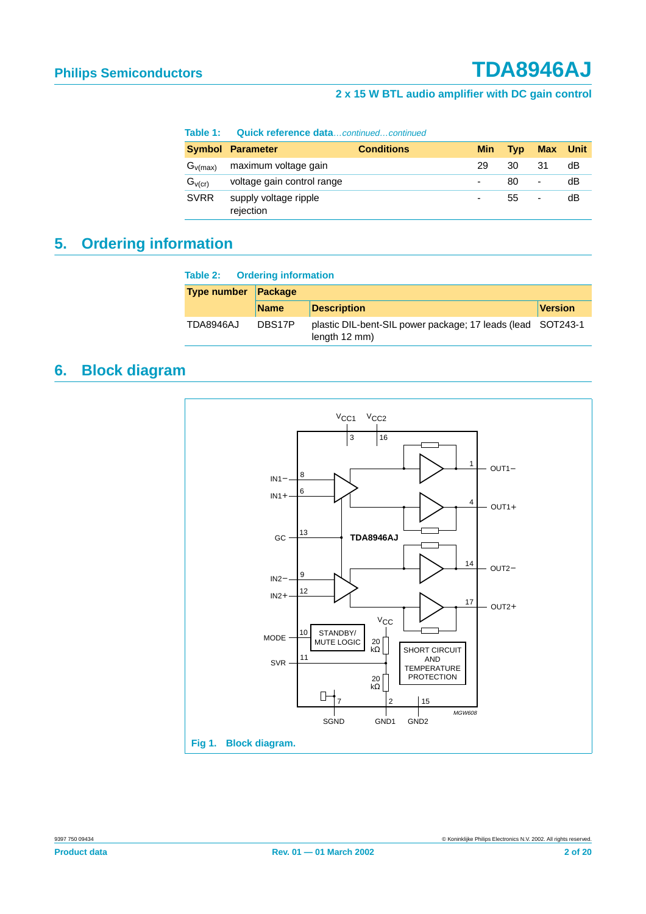#### **Table 1: Quick reference data**…continued…continued

|              | <b>Symbol Parameter</b>            | <b>Conditions</b> | <b>Min</b> | <b>Tvp</b> | <b>Max</b> Unit |    |
|--------------|------------------------------------|-------------------|------------|------------|-----------------|----|
| $G_{v(max)}$ | maximum voltage gain               |                   | 29         | 30         | 31              | dB |
| $G_{V(Cr)}$  | voltage gain control range         |                   |            | 80         | ٠               | dB |
| <b>SVRR</b>  | supply voltage ripple<br>rejection |                   |            | 55         | -               | dB |

# <span id="page-1-0"></span>**5. Ordering information**

| <b>Table 2: Ordering information</b> |                |                                                                               |                |  |  |  |  |
|--------------------------------------|----------------|-------------------------------------------------------------------------------|----------------|--|--|--|--|
| <b>Type number</b>                   | <b>Package</b> |                                                                               |                |  |  |  |  |
|                                      | <b>Name</b>    | <b>Description</b>                                                            | <b>Version</b> |  |  |  |  |
| TDA8946AJ                            | DBS17P         | plastic DIL-bent-SIL power package; 17 leads (lead SOT243-1)<br>length 12 mm) |                |  |  |  |  |

# <span id="page-1-1"></span>**6. Block diagram**

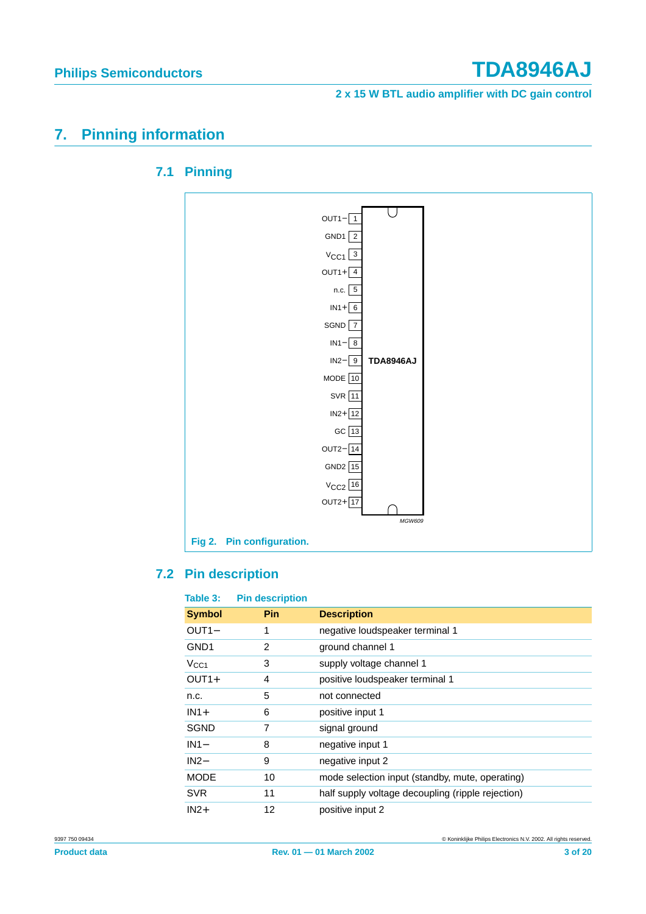# <span id="page-2-1"></span><span id="page-2-0"></span>**7. Pinning information**



## **7.1 Pinning**

## <span id="page-2-2"></span>**7.2 Pin description**

| Table 3:           | <b>Pin description</b> |                                                   |
|--------------------|------------------------|---------------------------------------------------|
| <b>Symbol</b>      | <b>Pin</b>             | <b>Description</b>                                |
| OUT <sub>1</sub> - | 1                      | negative loudspeaker terminal 1                   |
| GND <sub>1</sub>   | 2                      | ground channel 1                                  |
| V <sub>CC1</sub>   | 3                      | supply voltage channel 1                          |
| $OUT1+$            | 4                      | positive loudspeaker terminal 1                   |
| n.c.               | 5                      | not connected                                     |
| $IN1+$             | 6                      | positive input 1                                  |
| <b>SGND</b>        | 7                      | signal ground                                     |
| $IN1-$             | 8                      | negative input 1                                  |
| $IN2-$             | 9                      | negative input 2                                  |
| <b>MODE</b>        | 10                     | mode selection input (standby, mute, operating)   |
| <b>SVR</b>         | 11                     | half supply voltage decoupling (ripple rejection) |
| $IN2+$             | 12                     | positive input 2                                  |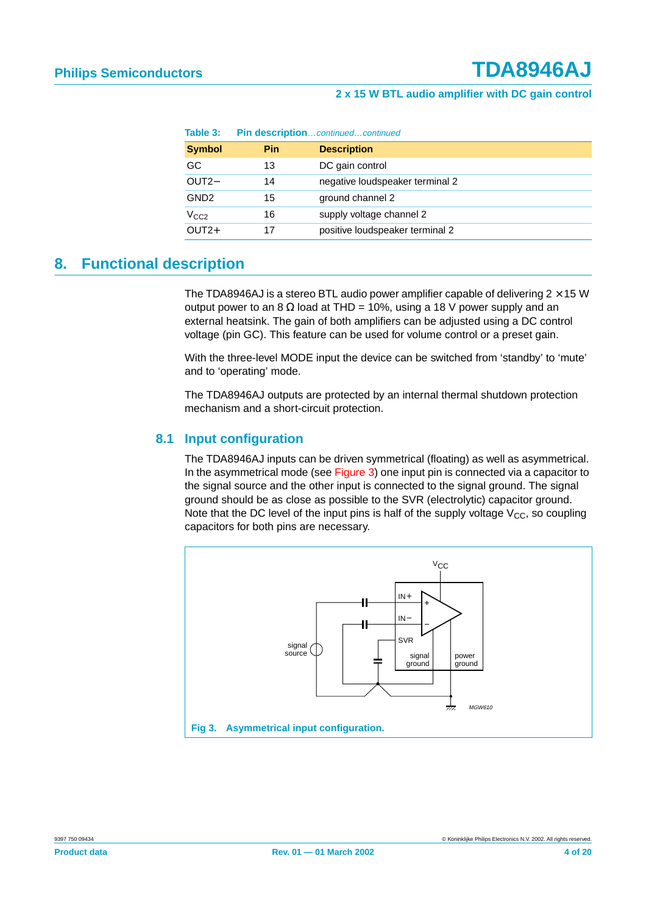| Table 3:         | Pin descriptioncontinuedcontinued |                                 |  |
|------------------|-----------------------------------|---------------------------------|--|
| <b>Symbol</b>    | <b>Pin</b>                        | <b>Description</b>              |  |
| GC.              | 13                                | DC gain control                 |  |
| OUT <sub>2</sub> | 14                                | negative loudspeaker terminal 2 |  |
| GND <sub>2</sub> | 15                                | ground channel 2                |  |
| V <sub>CC2</sub> | 16                                | supply voltage channel 2        |  |
| $OUT2+$          | 17                                | positive loudspeaker terminal 2 |  |

# <span id="page-3-1"></span>**8. Functional description**

The TDA8946AJ is a stereo BTL audio power amplifier capable of delivering  $2 \times 15$  W output power to an 8 Ω load at THD = 10%, using a 18 V power supply and an external heatsink. The gain of both amplifiers can be adjusted using a DC control voltage (pin GC). This feature can be used for volume control or a preset gain.

With the three-level MODE input the device can be switched from 'standby' to 'mute' and to 'operating' mode.

The TDA8946AJ outputs are protected by an internal thermal shutdown protection mechanism and a short-circuit protection.

## <span id="page-3-2"></span>**8.1 Input configuration**

The TDA8946AJ inputs can be driven symmetrical (floating) as well as asymmetrical. In the asymmetrical mode (see [Figure 3\)](#page-3-0) one input pin is connected via a capacitor to the signal source and the other input is connected to the signal ground. The signal ground should be as close as possible to the SVR (electrolytic) capacitor ground. Note that the DC level of the input pins is half of the supply voltage  $V_{CC}$ , so coupling capacitors for both pins are necessary.

<span id="page-3-0"></span>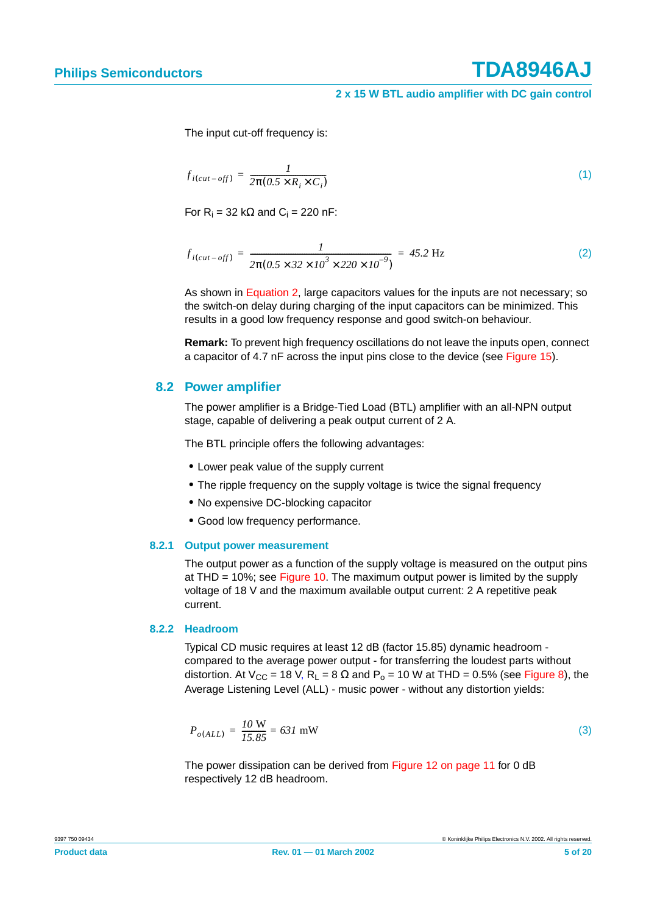The input cut-off frequency is:

$$
f_{i(cut-off)} = \frac{1}{2\pi(0.5 \times R_i \times C_i)}
$$
\n(1)

For  $R_i = 32$  kΩ and  $C_i = 220$  nF:

<span id="page-4-0"></span>
$$
f_{i(cut-off)} = \frac{1}{2\pi (0.5 \times 32 \times 10^3 \times 220 \times 10^{-9})} = 45.2 \text{ Hz}
$$
 (2)

As shown in [Equation 2](#page-4-0), large capacitors values for the inputs are not necessary; so the switch-on delay during charging of the input capacitors can be minimized. This results in a good low frequency response and good switch-on behaviour.

**Remark:** To prevent high frequency oscillations do not leave the inputs open, connect a capacitor of 4.7 nF across the input pins close to the device (see [Figure 15](#page-13-0)).

## <span id="page-4-2"></span>**8.2 Power amplifier**

The power amplifier is a Bridge-Tied Load (BTL) amplifier with an all-NPN output stage, capable of delivering a peak output current of 2 A.

The BTL principle offers the following advantages:

- **•** Lower peak value of the supply current
- **•** The ripple frequency on the supply voltage is twice the signal frequency
- **•** No expensive DC-blocking capacitor
- **•** Good low frequency performance.

### <span id="page-4-3"></span>**8.2.1 Output power measurement**

The output power as a function of the supply voltage is measured on the output pins at THD = 10%; see [Figure 10.](#page-9-0) The maximum output power is limited by the supply voltage of 18 V and the maximum available output current: 2 A repetitive peak current.

### <span id="page-4-1"></span>**8.2.2 Headroom**

Typical CD music requires at least 12 dB (factor 15.85) dynamic headroom compared to the average power output - for transferring the loudest parts without distortion. At  $V_{CC}$  = 18 V, R<sub>L</sub> = 8  $\Omega$  and P<sub>o</sub> = 10 W at THD = 0.5% (see [Figure 8\)](#page-9-1), the Average Listening Level (ALL) - music power - without any distortion yields:

$$
P_{o(ALL)} = \frac{10 \text{ W}}{15.85} = 631 \text{ mW}
$$
 (3)

The power dissipation can be derived from [Figure 12 on page 11](#page-10-0) for 0 dB respectively 12 dB headroom.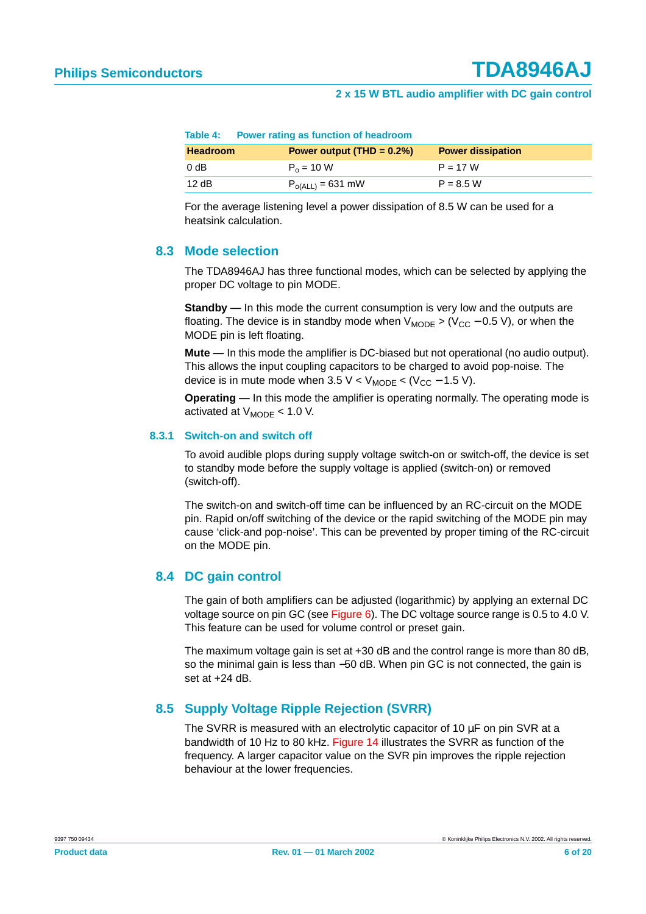|                 | Table 4: Power rating as function of neadroom |                          |
|-----------------|-----------------------------------------------|--------------------------|
| <b>Headroom</b> | Power output $(THD = 0.2\%)$                  | <b>Power dissipation</b> |
| 0 dB            | $P_0 = 10 W$                                  | $P = 17 W$               |
| 12dB            | $P_{o(ALL)} = 631$ mW                         | $P = 8.5 W$              |

| Table 4: |  |  | Power rating as function of headroom |
|----------|--|--|--------------------------------------|
|          |  |  |                                      |

For the average listening level a power dissipation of 8.5 W can be used for a heatsink calculation.

## <span id="page-5-0"></span>**8.3 Mode selection**

The TDA8946AJ has three functional modes, which can be selected by applying the proper DC voltage to pin MODE.

**Standby** — In this mode the current consumption is very low and the outputs are floating. The device is in standby mode when  $V_{\text{MODE}}$  > ( $V_{\text{CC}}$  – 0.5 V), or when the MODE pin is left floating.

**Mute —** In this mode the amplifier is DC-biased but not operational (no audio output). This allows the input coupling capacitors to be charged to avoid pop-noise. The device is in mute mode when  $3.5 \text{ V} < V_{\text{MODE}} < (V_{\text{CC}} - 1.5 \text{ V})$ .

**Operating —** In this mode the amplifier is operating normally. The operating mode is activated at  $V_{\text{MODE}}$  < 1.0 V.

### <span id="page-5-1"></span>**8.3.1 Switch-on and switch off**

To avoid audible plops during supply voltage switch-on or switch-off, the device is set to standby mode before the supply voltage is applied (switch-on) or removed (switch-off).

The switch-on and switch-off time can be influenced by an RC-circuit on the MODE pin. Rapid on/off switching of the device or the rapid switching of the MODE pin may cause 'click-and pop-noise'. This can be prevented by proper timing of the RC-circuit on the MODE pin.

## <span id="page-5-2"></span>**8.4 DC gain control**

The gain of both amplifiers can be adjusted (logarithmic) by applying an external DC voltage source on pin GC (see [Figure 6\)](#page-8-0). The DC voltage source range is 0.5 to 4.0 V. This feature can be used for volume control or preset gain.

The maximum voltage gain is set at +30 dB and the control range is more than 80 dB, so the minimal gain is less than −50 dB. When pin GC is not connected, the gain is set at  $+24$  dB.

## <span id="page-5-3"></span>**8.5 Supply Voltage Ripple Rejection (SVRR)**

The SVRR is measured with an electrolytic capacitor of 10  $\mu$ F on pin SVR at a bandwidth of 10 Hz to 80 kHz. [Figure 14](#page-10-1) illustrates the SVRR as function of the frequency. A larger capacitor value on the SVR pin improves the ripple rejection behaviour at the lower frequencies.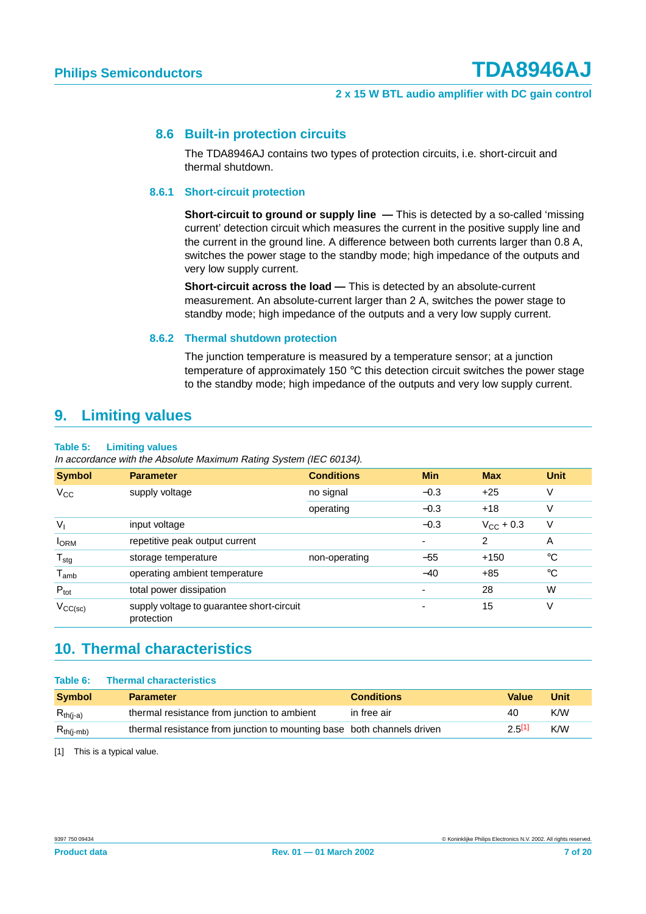## <span id="page-6-1"></span>**8.6 Built-in protection circuits**

The TDA8946AJ contains two types of protection circuits, i.e. short-circuit and thermal shutdown.

### <span id="page-6-2"></span>**8.6.1 Short-circuit protection**

**Short-circuit to ground or supply line —** This is detected by a so-called 'missing current' detection circuit which measures the current in the positive supply line and the current in the ground line. A difference between both currents larger than 0.8 A, switches the power stage to the standby mode; high impedance of the outputs and very low supply current.

**Short-circuit across the load —** This is detected by an absolute-current measurement. An absolute-current larger than 2 A, switches the power stage to standby mode; high impedance of the outputs and a very low supply current.

### **8.6.2 Thermal shutdown protection**

The junction temperature is measured by a temperature sensor; at a junction temperature of approximately 150 °C this detection circuit switches the power stage to the standby mode; high impedance of the outputs and very low supply current.

## <span id="page-6-4"></span><span id="page-6-3"></span>**9. Limiting values**

#### **Table 5: Limiting values**

In accordance with the Absolute Maximum Rating System (IEC 60134).

| <b>Symbol</b>               | <b>Parameter</b>                                        | <b>Conditions</b> | <b>Min</b> | <b>Max</b>         | Unit        |
|-----------------------------|---------------------------------------------------------|-------------------|------------|--------------------|-------------|
| $V_{CC}$                    | supply voltage                                          | no signal         | $-0.3$     | $+25$              | V           |
|                             |                                                         | operating         | $-0.3$     | $+18$              | V           |
| $V_{1}$                     | input voltage                                           |                   | $-0.3$     | $V_{\rm CC}$ + 0.3 | v           |
| <b>I</b> ORM                | repetitive peak output current                          |                   | ٠          | $\overline{2}$     | A           |
| $T_{\text{stg}}$            | storage temperature                                     | non-operating     | $-55$      | $+150$             | $^{\circ}C$ |
| $\mathsf{T}_{\mathsf{amb}}$ | operating ambient temperature                           |                   | $-40$      | $+85$              | $^{\circ}C$ |
| $P_{\text{tot}}$            | total power dissipation                                 |                   |            | 28                 | W           |
| $V_{CC}{(sc)}$              | supply voltage to guarantee short-circuit<br>protection |                   |            | 15                 | V           |

## <span id="page-6-5"></span>**10. Thermal characteristics**

#### **Table 6: Thermal characteristics**

| <b>Symbol</b>  | <b>Parameter</b>                                                       | <b>Conditions</b> | Value  | Unit |
|----------------|------------------------------------------------------------------------|-------------------|--------|------|
| $R_{th(i-a)}$  | thermal resistance from junction to ambient                            | in free air       | 40     | K/W  |
| $R_{th(i-mb)}$ | thermal resistance from junction to mounting base both channels driven |                   | 2.5[1] | K/W  |

<span id="page-6-0"></span>[1] This is a typical value.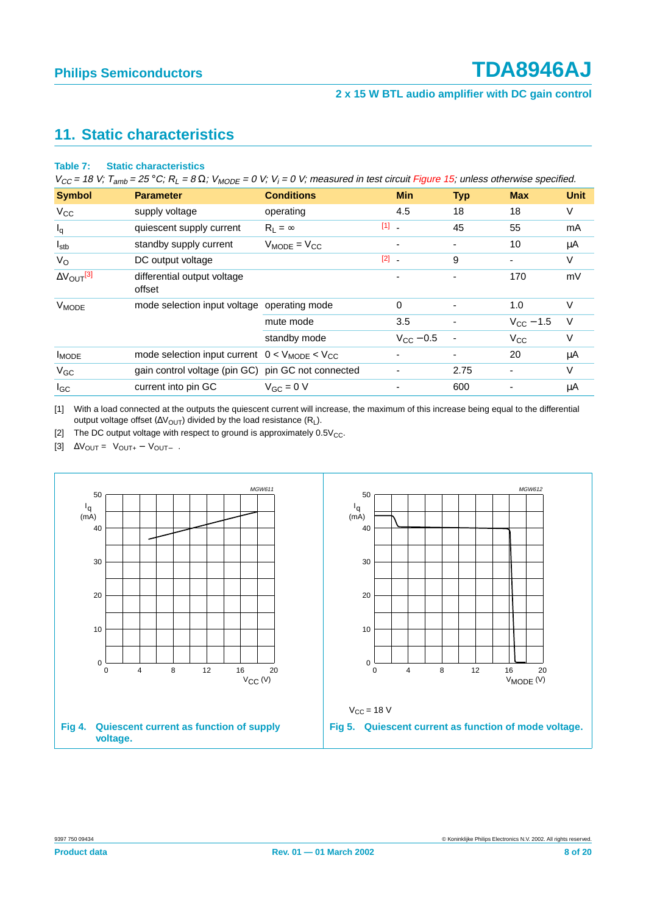# <span id="page-7-3"></span>**11. Static characteristics**

#### **Table 7: Static characteristics**

 $V_{CC}$  = 18 V; T<sub>amb</sub> = 25 °C; R<sub>L</sub> = 8 Ω; V<sub>MODE</sub> = 0 V; V<sub>i</sub> = 0 V; measured in test circuit [Figure](#page-13-0) 15; unless otherwise specified.

| <b>Symbol</b>                 | <b>Parameter</b>                                                   | <b>Conditions</b>   |                                | <b>Min</b>               | <b>Typ</b> | <b>Max</b>         | <b>Unit</b> |
|-------------------------------|--------------------------------------------------------------------|---------------------|--------------------------------|--------------------------|------------|--------------------|-------------|
| $V_{CC}$                      | supply voltage                                                     | operating           |                                | 4.5                      | 18         | 18                 | V           |
| $I_q$                         | quiescent supply current                                           | $R_1 = \infty$      | $[1]$ $\overline{\phantom{1}}$ |                          | 45         | 55                 | mA          |
| $I_{\text{stb}}$              | standby supply current                                             | $V_{MODE} = V_{CC}$ |                                | $\overline{\phantom{0}}$ | ٠          | 10                 | μA          |
| $V_{\rm O}$                   | DC output voltage                                                  |                     | $[2]$ $\overline{\phantom{a}}$ |                          | 9          |                    | V           |
| $\Delta V_{\text{OUT}}^{[3]}$ | differential output voltage<br>offset                              |                     |                                |                          |            | 170                | mV          |
| V <sub>MODE</sub>             | mode selection input voltage operating mode                        |                     |                                | $\Omega$                 | ٠          | 1.0                | V           |
|                               |                                                                    | mute mode           |                                | 3.5                      |            | $V_{\rm CC}$ – 1.5 | $\vee$      |
|                               |                                                                    | standby mode        |                                | $V_{\rm CC} - 0.5$       |            | $V_{CC}$           | V           |
| <b>I</b> MODE                 | mode selection input current $0 < V_{\text{MODE}} < V_{\text{CC}}$ |                     |                                |                          | ٠          | 20                 | μA          |
| $V_{GC}$                      | gain control voltage (pin GC) pin GC not connected                 |                     |                                |                          | 2.75       |                    | V           |
| $I_{GC}$                      | current into pin GC                                                | $V_{GC} = 0 V$      |                                |                          | 600        |                    | μA          |

<span id="page-7-0"></span>[1] With a load connected at the outputs the quiescent current will increase, the maximum of this increase being equal to the differential output voltage offset ( $\Delta V_{\text{OUT}}$ ) divided by the load resistance (R<sub>L</sub>).

<span id="page-7-1"></span>[2] The DC output voltage with respect to ground is approximately  $0.5V_{CC}$ .

<span id="page-7-2"></span>[3]  $\Delta V_{\text{OUT}} = |V_{\text{OUT+}} - V_{\text{OUT-}}|$ .

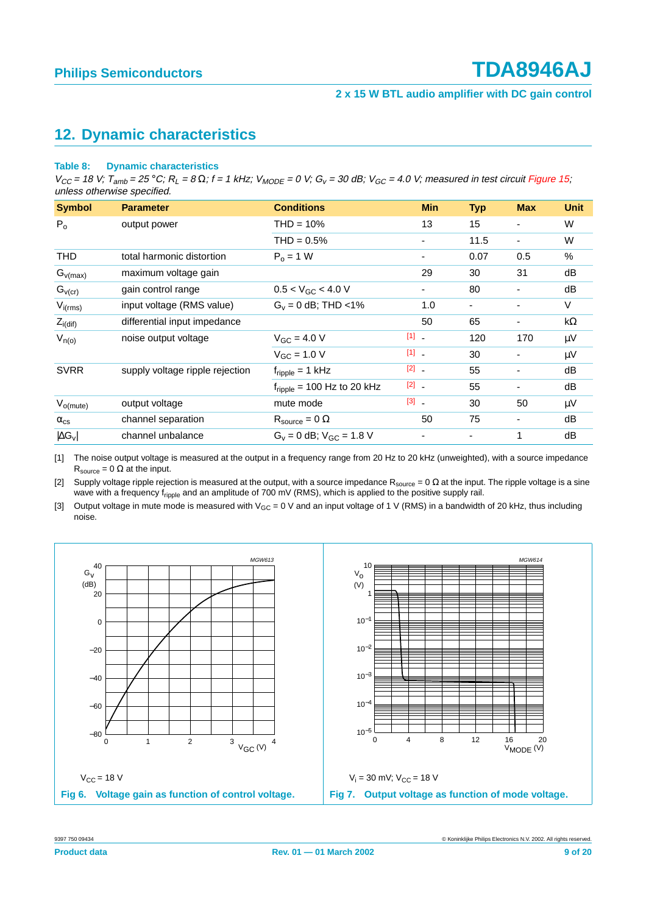# <span id="page-8-4"></span>**12. Dynamic characteristics**

#### **Table 8: Dynamic characteristics**

 $V_{CC}$  = 18 V;  $T_{amb}$  = 25 °C;  $R_1$  = 8  $\Omega$ ; f = 1 kHz;  $V_{MODE}$  = 0 V;  $G_V$  = 30 dB;  $V_{GC}$  = 4.0 V; measured in test circuit [Figure](#page-13-0) 15; unless otherwise specified.

| <b>Symbol</b>        | <b>Parameter</b>                | <b>Conditions</b>                      | <b>Min</b>                        | <b>Typ</b> | <b>Max</b>               | Unit    |
|----------------------|---------------------------------|----------------------------------------|-----------------------------------|------------|--------------------------|---------|
| $P_0$                | output power                    | $THD = 10%$                            | 13                                | 15         | -                        | W       |
|                      |                                 | $THD = 0.5%$                           | ٠                                 | 11.5       | $\overline{\phantom{a}}$ | W       |
| <b>THD</b>           | total harmonic distortion       | $P_0 = 1 W$                            |                                   | 0.07       | 0.5                      | $\%$    |
| $G_{v(max)}$         | maximum voltage gain            |                                        | 29                                | 30         | 31                       | dB      |
| $G_{V(Cr)}$          | gain control range              | $0.5 < V_{GC} < 4.0 V$                 |                                   | 80         | $\overline{\phantom{0}}$ | dB      |
| $V_{i(rms)}$         | input voltage (RMS value)       | $G_v = 0$ dB; THD <1%                  | 1.0                               | ٠          |                          | V       |
| $Z_{i(\text{dif})}$  | differential input impedance    |                                        | 50                                | 65         | -                        | kΩ      |
| $V_{n(o)}$           | noise output voltage            | $V_{GC} = 4.0 V$                       | $\begin{bmatrix} 1 \end{bmatrix}$ | 120        | 170                      | $\mu$ V |
|                      |                                 | $V_{GC} = 1.0 V$                       | $[1]$ .                           | 30         | -                        | $\mu$ V |
| <b>SVRR</b>          | supply voltage ripple rejection | $f_{\text{ripple}} = 1$ kHz            | $[2]$ $-$                         | 55         |                          | dB      |
|                      |                                 | $f_{\text{ripole}}$ = 100 Hz to 20 kHz | $[2]$ .                           | 55         | $\overline{\phantom{0}}$ | dB      |
| $V_{o(mute)}$        | output voltage                  | mute mode                              | $\begin{bmatrix} 3 \end{bmatrix}$ | 30         | 50                       | $\mu$ V |
| $\alpha_{\rm cs}$    | channel separation              | $R_{\text{source}} = 0 \Omega$         | 50                                | 75         | -                        | dB      |
| $ \Delta G_{\rm V} $ | channel unbalance               | $G_v = 0$ dB; $V_{GC} = 1.8$ V         |                                   |            | 1                        | dB      |

<span id="page-8-1"></span>[1] The noise output voltage is measured at the output in a frequency range from 20 Hz to 20 kHz (unweighted), with a source impedance  $R_{source} = 0 \Omega$  at the input.

<span id="page-8-2"></span>[2] Supply voltage ripple rejection is measured at the output, with a source impedance  $R_{source} = 0 \Omega$  at the input. The ripple voltage is a sine wave with a frequency fripple and an amplitude of 700 mV (RMS), which is applied to the positive supply rail.

<span id="page-8-3"></span>[3] Output voltage in mute mode is measured with  $V_{GC} = 0$  V and an input voltage of 1 V (RMS) in a bandwidth of 20 kHz, thus including noise.

<span id="page-8-0"></span>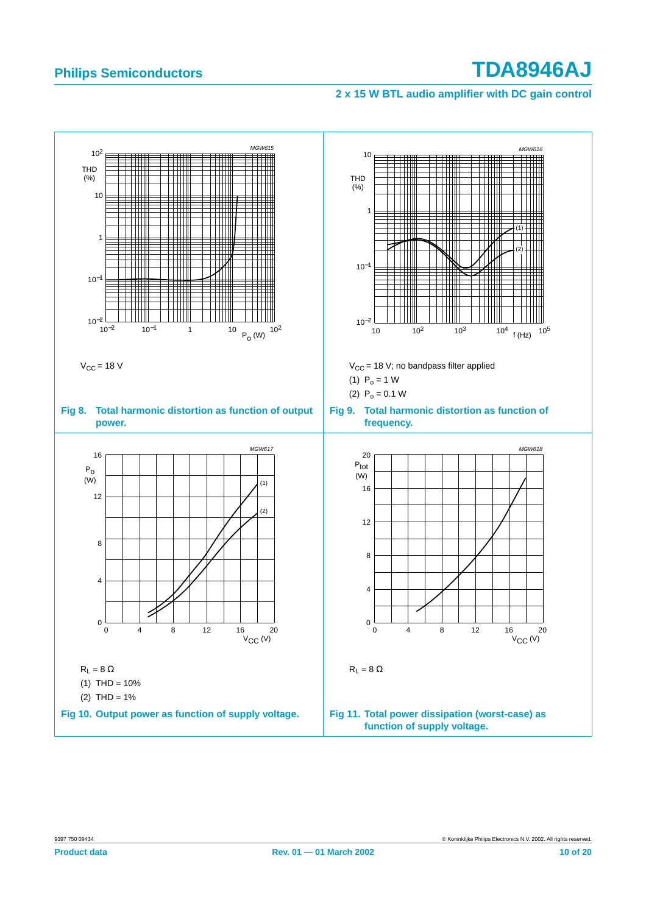## <span id="page-9-2"></span>**2 x 15 W BTL audio amplifier with DC gain control**

<span id="page-9-1"></span><span id="page-9-0"></span>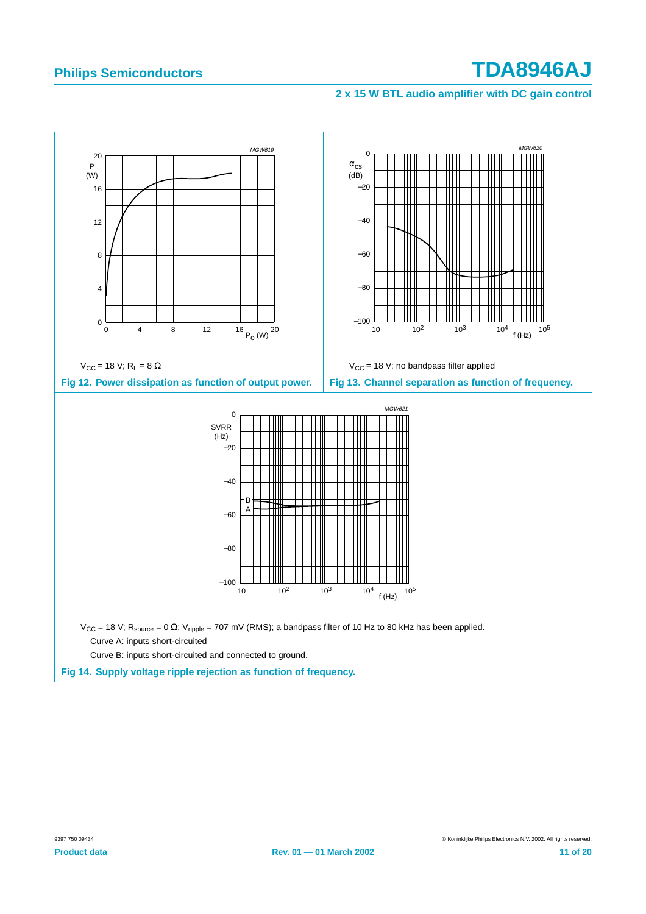## <span id="page-10-2"></span>**2 x 15 W BTL audio amplifier with DC gain control**

<span id="page-10-1"></span><span id="page-10-0"></span>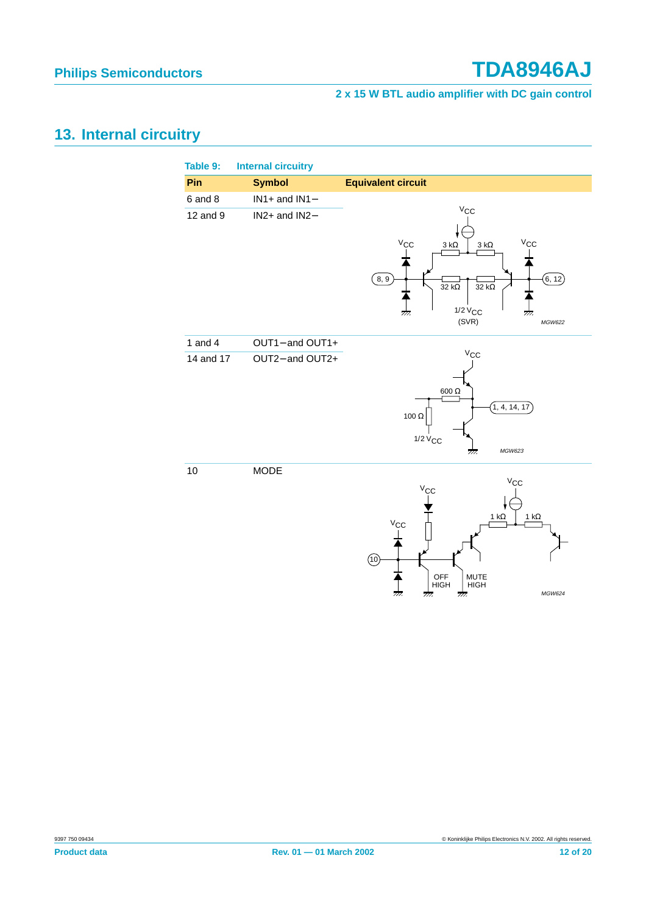## **2 x 15 W BTL audio amplifier with DC gain control**

# <span id="page-11-0"></span>**13. Internal circuitry**

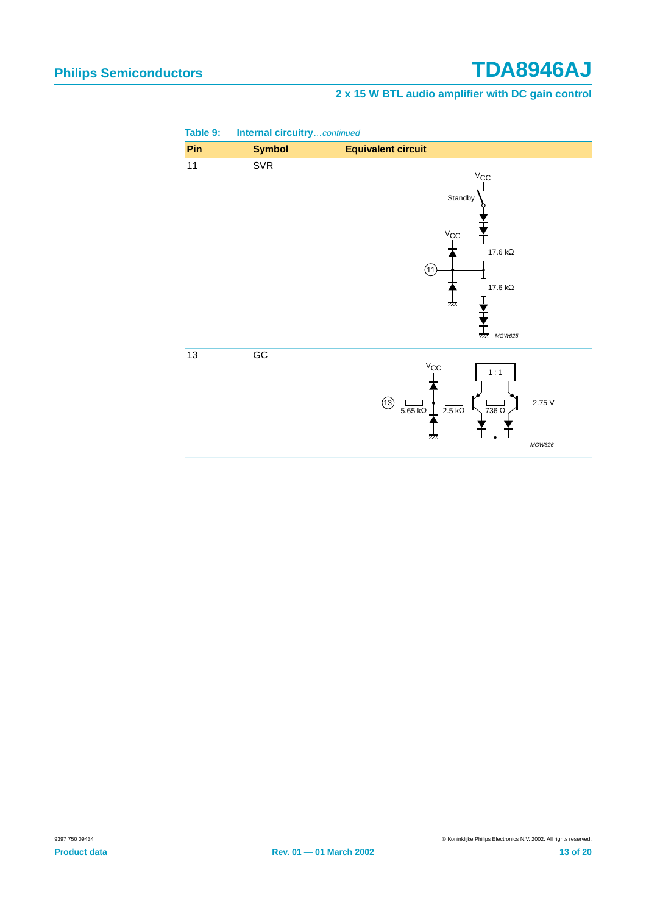## **2 x 15 W BTL audio amplifier with DC gain control**

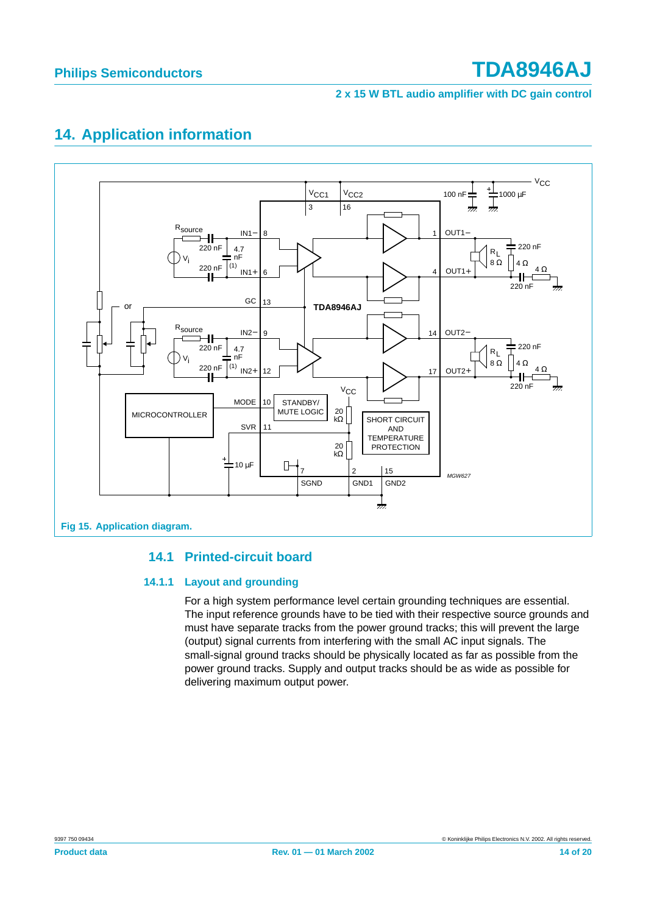## **2 x 15 W BTL audio amplifier with DC gain control**

# <span id="page-13-1"></span>**14. Application information**



## <span id="page-13-0"></span>**14.1 Printed-circuit board**

## <span id="page-13-3"></span><span id="page-13-2"></span>**14.1.1 Layout and grounding**

For a high system performance level certain grounding techniques are essential. The input reference grounds have to be tied with their respective source grounds and must have separate tracks from the power ground tracks; this will prevent the large (output) signal currents from interfering with the small AC input signals. The small-signal ground tracks should be physically located as far as possible from the power ground tracks. Supply and output tracks should be as wide as possible for delivering maximum output power.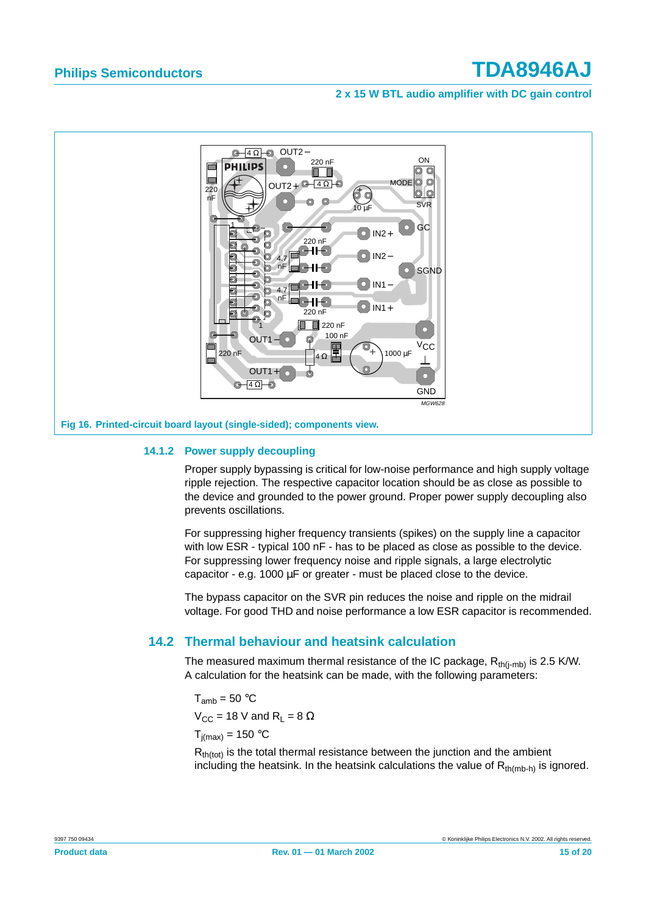

### <span id="page-14-0"></span>**14.1.2 Power supply decoupling**

Proper supply bypassing is critical for low-noise performance and high supply voltage ripple rejection. The respective capacitor location should be as close as possible to the device and grounded to the power ground. Proper power supply decoupling also prevents oscillations.

For suppressing higher frequency transients (spikes) on the supply line a capacitor with low ESR - typical 100 nF - has to be placed as close as possible to the device. For suppressing lower frequency noise and ripple signals, a large electrolytic capacitor - e.g. 1000 µF or greater - must be placed close to the device.

The bypass capacitor on the SVR pin reduces the noise and ripple on the midrail voltage. For good THD and noise performance a low ESR capacitor is recommended.

## <span id="page-14-1"></span>**14.2 Thermal behaviour and heatsink calculation**

The measured maximum thermal resistance of the IC package,  $R_{th(i-mb)}$  is 2.5 K/W. A calculation for the heatsink can be made, with the following parameters:

 $T_{amb}$  = 50 °C  $V_{CC}$  = 18 V and R<sub>L</sub> = 8  $\Omega$  $T_{i(max)} = 150 °C$ 

 $R<sub>th(tot)</sub>$  is the total thermal resistance between the junction and the ambient including the heatsink. In the heatsink calculations the value of  $R_{th(mb-h)}$  is ignored.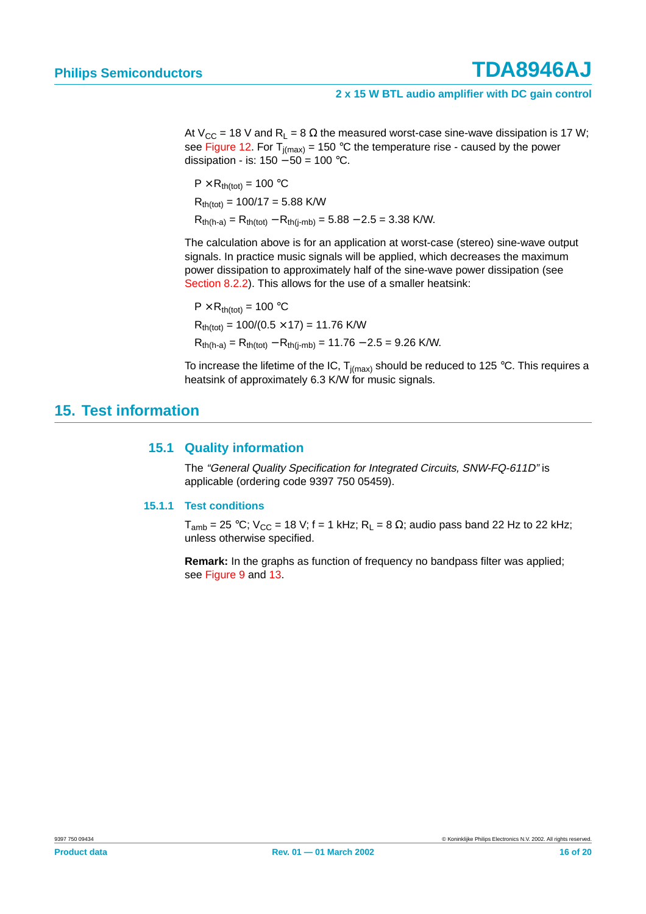At V<sub>CC</sub> = 18 V and R<sub>L</sub> = 8  $\Omega$  the measured worst-case sine-wave dissipation is 17 W; see [Figure 12](#page-10-0). For  $T_{i(max)}$  = 150 °C the temperature rise - caused by the power dissipation - is:  $150 - 50 = 100$  °C.

$$
P \times R_{th(tot)} = 100 °C
$$
  
\n $R_{th(tot)} = 100/17 = 5.88$  K/W  
\n $R_{th(h-a)} = R_{th(tot)} - R_{th(j-mb)} = 5.88 - 2.5 = 3.38$  K/W.

The calculation above is for an application at worst-case (stereo) sine-wave output signals. In practice music signals will be applied, which decreases the maximum power dissipation to approximately half of the sine-wave power dissipation (see [Section 8.2.2\)](#page-4-1). This allows for the use of a smaller heatsink:

 $P \times R_{th(tot)} = 100 °C$  $R_{th(tot)} = 100/(0.5 \times 17) = 11.76$  K/W  $R_{th(h-a)} = R_{th(tot)} - R_{th(i-mb)} = 11.76 - 2.5 = 9.26$  K/W.

To increase the lifetime of the IC,  $T_{i(max)}$  should be reduced to 125 °C. This requires a heatsink of approximately 6.3 K/W for music signals.

## <span id="page-15-1"></span><span id="page-15-0"></span>**15. Test information**

## **15.1 Quality information**

The "General Quality Specification for Integrated Circuits, SNW-FQ-611D" is applicable (ordering code 9397 750 05459).

## <span id="page-15-2"></span>**15.1.1 Test conditions**

 $T_{amb}$  = 25 °C; V<sub>CC</sub> = 18 V; f = 1 kHz; R<sub>L</sub> = 8  $\Omega$ ; audio pass band 22 Hz to 22 kHz; unless otherwise specified.

**Remark:** In the graphs as function of frequency no bandpass filter was applied; see [Figure 9](#page-9-2) and [13](#page-10-2).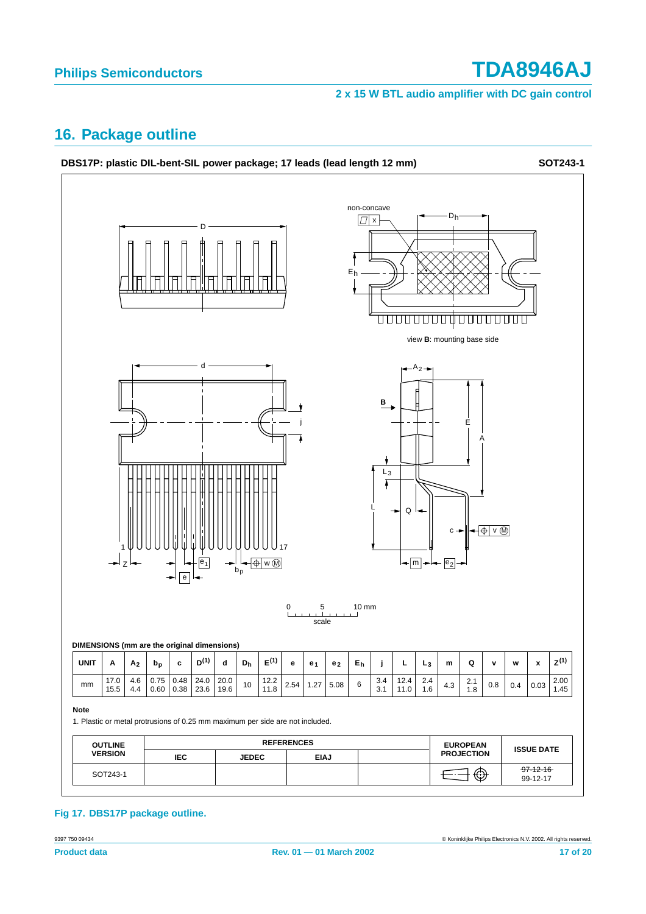## **2 x 15 W BTL audio amplifier with DC gain control**

# <span id="page-16-0"></span>**16. Package outline**



## **Fig 17. DBS17P package outline.**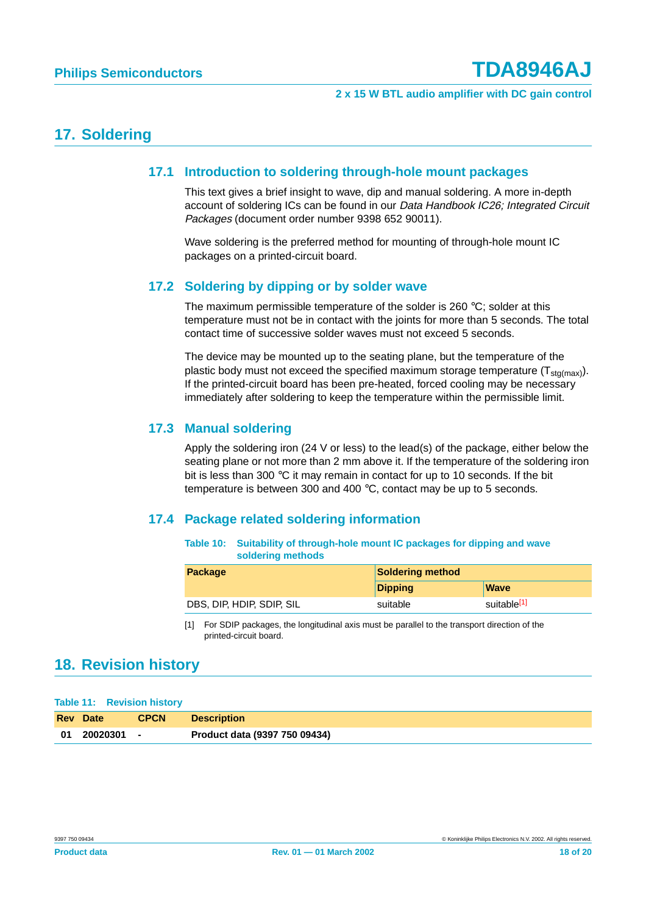## <span id="page-17-2"></span><span id="page-17-1"></span>**17. Soldering**

## **17.1 Introduction to soldering through-hole mount packages**

This text gives a brief insight to wave, dip and manual soldering. A more in-depth account of soldering ICs can be found in our Data Handbook IC26; Integrated Circuit Packages (document order number 9398 652 90011).

Wave soldering is the preferred method for mounting of through-hole mount IC packages on a printed-circuit board.

## <span id="page-17-3"></span>**17.2 Soldering by dipping or by solder wave**

The maximum permissible temperature of the solder is 260 °C; solder at this temperature must not be in contact with the joints for more than 5 seconds. The total contact time of successive solder waves must not exceed 5 seconds.

The device may be mounted up to the seating plane, but the temperature of the plastic body must not exceed the specified maximum storage temperature  $(T_{\text{sto(max)}})$ . If the printed-circuit board has been pre-heated, forced cooling may be necessary immediately after soldering to keep the temperature within the permissible limit.

## <span id="page-17-4"></span>**17.3 Manual soldering**

Apply the soldering iron (24 V or less) to the lead(s) of the package, either below the seating plane or not more than 2 mm above it. If the temperature of the soldering iron bit is less than 300 °C it may remain in contact for up to 10 seconds. If the bit temperature is between 300 and 400 °C, contact may be up to 5 seconds.

## <span id="page-17-5"></span>**17.4 Package related soldering information**

**Table 10: Suitability of through-hole mount IC packages for dipping and wave soldering methods**

| <b>Package</b>            | <b>Soldering method</b> |                         |  |
|---------------------------|-------------------------|-------------------------|--|
|                           | <b>Dipping</b>          | <b>Wave</b>             |  |
| DBS, DIP, HDIP, SDIP, SIL | suitable                | suitable <sup>[1]</sup> |  |

<span id="page-17-0"></span>[1] For SDIP packages, the longitudinal axis must be parallel to the transport direction of the printed-circuit board.

# <span id="page-17-6"></span>**18. Revision history**

#### **Table 11: Revision history**

| <b>Rev</b> Date | <b>CPCN</b> | <b>Description</b>            |
|-----------------|-------------|-------------------------------|
| 01 20020301     |             | Product data (9397 750 09434) |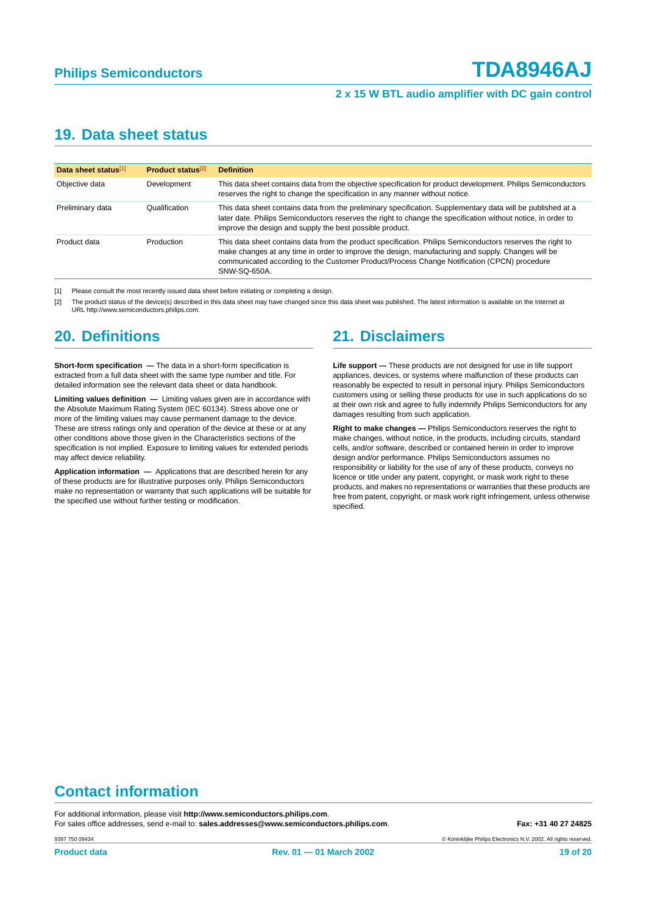# <span id="page-18-2"></span>**19. Data sheet status**

| Data sheet status[1] | Product status <sup>[2]</sup> | <b>Definition</b>                                                                                                                                                                                                                                                                                                               |
|----------------------|-------------------------------|---------------------------------------------------------------------------------------------------------------------------------------------------------------------------------------------------------------------------------------------------------------------------------------------------------------------------------|
| Objective data       | Development                   | This data sheet contains data from the objective specification for product development. Philips Semiconductors<br>reserves the right to change the specification in any manner without notice.                                                                                                                                  |
| Preliminary data     | Qualification                 | This data sheet contains data from the preliminary specification. Supplementary data will be published at a<br>later date. Philips Semiconductors reserves the right to change the specification without notice, in order to<br>improve the design and supply the best possible product.                                        |
| Product data         | Production                    | This data sheet contains data from the product specification. Philips Semiconductors reserves the right to<br>make changes at any time in order to improve the design, manufacturing and supply. Changes will be<br>communicated according to the Customer Product/Process Change Notification (CPCN) procedure<br>SNW-SQ-650A. |

<span id="page-18-0"></span>[1] Please consult the most recently issued data sheet before initiating or completing a design.

<span id="page-18-1"></span>[2] The product status of the device(s) described in this data sheet may have changed since this data sheet was published. The latest information is available on the Internet at URL http://www.semiconductors.philips.com.

# <span id="page-18-3"></span>**20. Definitions**

**Short-form specification —** The data in a short-form specification is extracted from a full data sheet with the same type number and title. For detailed information see the relevant data sheet or data handbook.

**Limiting values definition —** Limiting values given are in accordance with the Absolute Maximum Rating System (IEC 60134). Stress above one or more of the limiting values may cause permanent damage to the device. These are stress ratings only and operation of the device at these or at any other conditions above those given in the Characteristics sections of the specification is not implied. Exposure to limiting values for extended periods may affect device reliability.

**Application information —** Applications that are described herein for any of these products are for illustrative purposes only. Philips Semiconductors make no representation or warranty that such applications will be suitable for the specified use without further testing or modification.

# <span id="page-18-4"></span>**21. Disclaimers**

**Life support —** These products are not designed for use in life support appliances, devices, or systems where malfunction of these products can reasonably be expected to result in personal injury. Philips Semiconductors customers using or selling these products for use in such applications do so at their own risk and agree to fully indemnify Philips Semiconductors for any damages resulting from such application.

**Right to make changes —** Philips Semiconductors reserves the right to make changes, without notice, in the products, including circuits, standard cells, and/or software, described or contained herein in order to improve design and/or performance. Philips Semiconductors assumes no responsibility or liability for the use of any of these products, conveys no licence or title under any patent, copyright, or mask work right to these products, and makes no representations or warranties that these products are free from patent, copyright, or mask work right infringement, unless otherwise specified.

# **Contact information**

For additional information, please visit **http://www.semiconductors.philips.com**. For sales office addresses, send e-mail to: **sales.addresses@www.semiconductors.philips.com. Fax: +31 40 27 24825** 

© Koninklijke Philips Electronics N.V. 2002. All rights reserved.

9397 750 09434